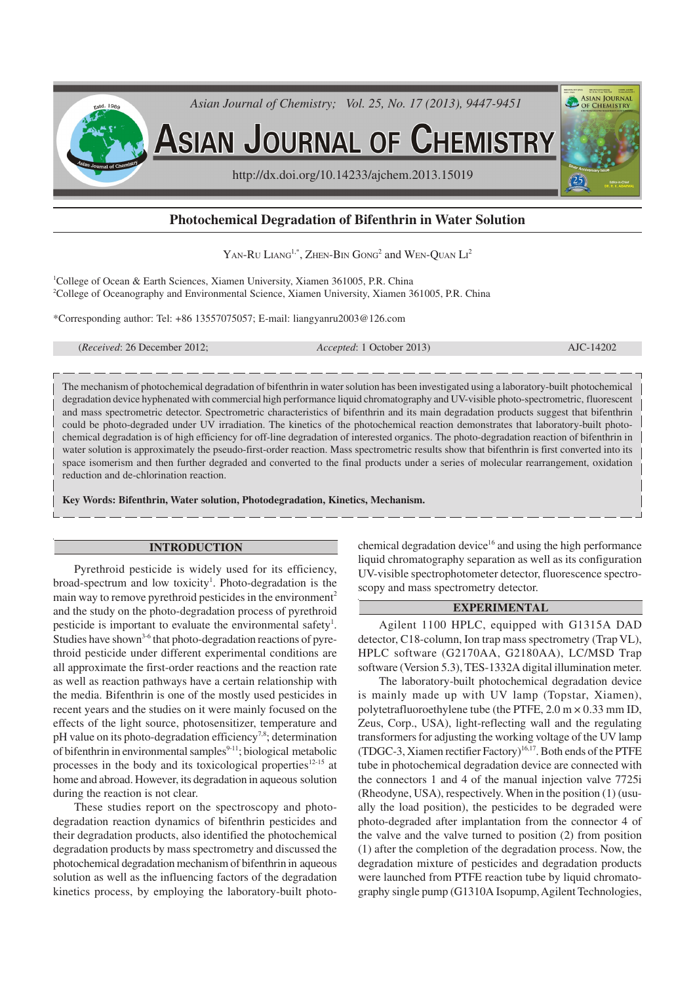

# **Photochemical Degradation of Bifenthrin in Water Solution**

YAN-RU LIANG<sup>1,\*</sup>, ZHEN-BIN GONG<sup>2</sup> and WEN-QUAN  $\rm L1^2$ 

<sup>1</sup>College of Ocean & Earth Sciences, Xiamen University, Xiamen 361005, P.R. China <sup>2</sup>College of Oceanography and Environmental Science, Xiamen University, Xiamen 361005, P.R. China

\*Corresponding author: Tel: +86 13557075057; E-mail: liangyanru2003@126.com

(*Received*: 26 December 2012; *Accepted*: 1 October 2013) AJC-14202

The mechanism of photochemical degradation of bifenthrin in water solution has been investigated using a laboratory-built photochemical degradation device hyphenated with commercial high performance liquid chromatography and UV-visible photo-spectrometric, fluorescent and mass spectrometric detector. Spectrometric characteristics of bifenthrin and its main degradation products suggest that bifenthrin could be photo-degraded under UV irradiation. The kinetics of the photochemical reaction demonstrates that laboratory-built photochemical degradation is of high efficiency for off-line degradation of interested organics. The photo-degradation reaction of bifenthrin in water solution is approximately the pseudo-first-order reaction. Mass spectrometric results show that bifenthrin is first converted into its space isomerism and then further degraded and converted to the final products under a series of molecular rearrangement, oxidation reduction and de-chlorination reaction.

**Key Words: Bifenthrin, Water solution, Photodegradation, Kinetics, Mechanism.**

## **INTRODUCTION**

Pyrethroid pesticide is widely used for its efficiency, broad-spectrum and low toxicity<sup>1</sup>. Photo-degradation is the main way to remove pyrethroid pesticides in the environment<sup>2</sup> and the study on the photo-degradation process of pyrethroid pesticide is important to evaluate the environmental safety<sup>1</sup>. Studies have shown<sup>3-6</sup> that photo-degradation reactions of pyrethroid pesticide under different experimental conditions are all approximate the first-order reactions and the reaction rate as well as reaction pathways have a certain relationship with the media. Bifenthrin is one of the mostly used pesticides in recent years and the studies on it were mainly focused on the effects of the light source, photosensitizer, temperature and pH value on its photo-degradation efficiency<sup>7,8</sup>; determination of bifenthrin in environmental samples<sup>9-11</sup>; biological metabolic processes in the body and its toxicological properties<sup>12-15</sup> at home and abroad. However, its degradation in aqueous solution during the reaction is not clear.

These studies report on the spectroscopy and photodegradation reaction dynamics of bifenthrin pesticides and their degradation products, also identified the photochemical degradation products by mass spectrometry and discussed the photochemical degradation mechanism of bifenthrin in aqueous solution as well as the influencing factors of the degradation kinetics process, by employing the laboratory-built photo-

chemical degradation device<sup>16</sup> and using the high performance liquid chromatography separation as well as its configuration UV-visible spectrophotometer detector, fluorescence spectroscopy and mass spectrometry detector.

## **EXPERIMENTAL**

Agilent 1100 HPLC, equipped with G1315A DAD detector, C18-column, Ion trap mass spectrometry (Trap VL), HPLC software (G2170AA, G2180AA), LC/MSD Trap software (Version 5.3), TES-1332A digital illumination meter.

The laboratory-built photochemical degradation device is mainly made up with UV lamp (Topstar, Xiamen), polytetrafluoroethylene tube (the PTFE,  $2.0 \text{ m} \times 0.33 \text{ mm}$  ID, Zeus, Corp., USA), light-reflecting wall and the regulating transformers for adjusting the working voltage of the UV lamp (TDGC-3, Xiamen rectifier Factory)<sup>16,17</sup>. Both ends of the PTFE tube in photochemical degradation device are connected with the connectors 1 and 4 of the manual injection valve 7725i (Rheodyne, USA), respectively. When in the position (1) (usually the load position), the pesticides to be degraded were photo-degraded after implantation from the connector 4 of the valve and the valve turned to position (2) from position (1) after the completion of the degradation process. Now, the degradation mixture of pesticides and degradation products were launched from PTFE reaction tube by liquid chromatography single pump (G1310A Isopump, Agilent Technologies,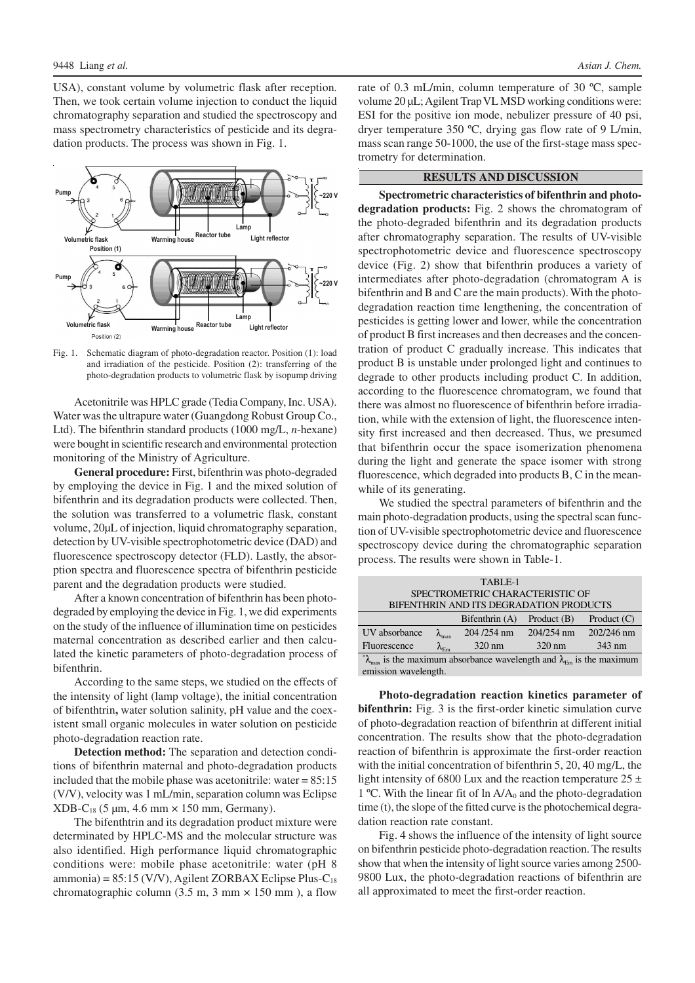USA), constant volume by volumetric flask after reception. Then, we took certain volume injection to conduct the liquid chromatography separation and studied the spectroscopy and mass spectrometry characteristics of pesticide and its degradation products. The process was shown in Fig. 1.



Fig. 1. Schematic diagram of photo-degradation reactor. Position (1): load and irradiation of the pesticide. Position (2): transferring of the photo-degradation products to volumetric flask by isopump driving

Acetonitrile was HPLC grade (Tedia Company, Inc. USA). Water was the ultrapure water (Guangdong Robust Group Co., Ltd). The bifenthrin standard products (1000 mg/L, *n*-hexane) were bought in scientific research and environmental protection monitoring of the Ministry of Agriculture.

**General procedure:** First, bifenthrin was photo-degraded by employing the device in Fig. 1 and the mixed solution of bifenthrin and its degradation products were collected. Then, the solution was transferred to a volumetric flask, constant volume, 20µL of injection, liquid chromatography separation, detection by UV-visible spectrophotometric device (DAD) and fluorescence spectroscopy detector (FLD). Lastly, the absorption spectra and fluorescence spectra of bifenthrin pesticide parent and the degradation products were studied.

After a known concentration of bifenthrin has been photodegraded by employing the device in Fig. 1, we did experiments on the study of the influence of illumination time on pesticides maternal concentration as described earlier and then calculated the kinetic parameters of photo-degradation process of bifenthrin.

According to the same steps, we studied on the effects of the intensity of light (lamp voltage), the initial concentration of bifenthtrin**,** water solution salinity, pH value and the coexistent small organic molecules in water solution on pesticide photo-degradation reaction rate.

**Detection method:** The separation and detection conditions of bifenthrin maternal and photo-degradation products included that the mobile phase was acetonitrile: water = 85:15 (V/V), velocity was 1 mL/min, separation column was Eclipse  $XDB-C_{18}$  (5 µm, 4.6 mm  $\times$  150 mm, Germany).

The bifenthtrin and its degradation product mixture were determinated by HPLC-MS and the molecular structure was also identified. High performance liquid chromatographic conditions were: mobile phase acetonitrile: water (pH 8 ammonia) =  $85:15$  (V/V), Agilent ZORBAX Eclipse Plus-C<sub>18</sub> chromatographic column  $(3.5 \text{ m}, 3 \text{ mm} \times 150 \text{ mm})$ , a flow

rate of 0.3 mL/min, column temperature of 30 ºC, sample volume 20 µL; Agilent Trap VL MSD working conditions were: ESI for the positive ion mode, nebulizer pressure of 40 psi, dryer temperature 350 ºC, drying gas flow rate of 9 L/min, mass scan range 50-1000, the use of the first-stage mass spectrometry for determination.

## **RESULTS AND DISCUSSION**

**Spectrometric characteristics of bifenthrin and photodegradation products:** Fig. 2 shows the chromatogram of the photo-degraded bifenthrin and its degradation products after chromatography separation. The results of UV-visible spectrophotometric device and fluorescence spectroscopy device (Fig. 2) show that bifenthrin produces a variety of intermediates after photo-degradation (chromatogram A is bifenthrin and B and C are the main products). With the photodegradation reaction time lengthening, the concentration of pesticides is getting lower and lower, while the concentration of product B first increases and then decreases and the concentration of product C gradually increase. This indicates that product B is unstable under prolonged light and continues to degrade to other products including product C. In addition, according to the fluorescence chromatogram, we found that there was almost no fluorescence of bifenthrin before irradiation, while with the extension of light, the fluorescence intensity first increased and then decreased. Thus, we presumed that bifenthrin occur the space isomerization phenomena during the light and generate the space isomer with strong fluorescence, which degraded into products B, C in the meanwhile of its generating.

We studied the spectral parameters of bifenthrin and the main photo-degradation products, using the spectral scan function of UV-visible spectrophotometric device and fluorescence spectroscopy device during the chromatographic separation process. The results were shown in Table-1.

| TABLE-1                                                                                                  |                              |                  |                  |                  |
|----------------------------------------------------------------------------------------------------------|------------------------------|------------------|------------------|------------------|
| SPECTROMETRIC CHARACTERISTIC OF                                                                          |                              |                  |                  |                  |
| BIFENTHRIN AND ITS DEGRADATION PRODUCTS                                                                  |                              |                  |                  |                  |
|                                                                                                          |                              | Bifenthrin $(A)$ | Product $(B)$    | Product $(C)$    |
| UV absorbance                                                                                            | $\lambda_{\text{max}}$       | 204/254 nm       | 204/254 nm       | 202/246 nm       |
| Fluorescence                                                                                             | $\lambda_{\text{\tiny{Em}}}$ | $320 \text{ nm}$ | $320 \text{ nm}$ | $343 \text{ nm}$ |
| ${}^*\lambda_{\text{max}}$ is the maximum absorbance wavelength and $\lambda_{\text{Em}}$ is the maximum |                              |                  |                  |                  |
| emission wavelength.                                                                                     |                              |                  |                  |                  |

**Photo-degradation reaction kinetics parameter of bifenthrin:** Fig. 3 is the first-order kinetic simulation curve of photo-degradation reaction of bifenthrin at different initial concentration. The results show that the photo-degradation reaction of bifenthrin is approximate the first-order reaction with the initial concentration of bifenthrin 5, 20, 40 mg/L, the light intensity of 6800 Lux and the reaction temperature  $25 \pm$ 1 °C. With the linear fit of  $\ln A/A_0$  and the photo-degradation time (t), the slope of the fitted curve is the photochemical degradation reaction rate constant.

Fig. 4 shows the influence of the intensity of light source on bifenthrin pesticide photo-degradation reaction. The results show that when the intensity of light source varies among 2500- 9800 Lux, the photo-degradation reactions of bifenthrin are all approximated to meet the first-order reaction.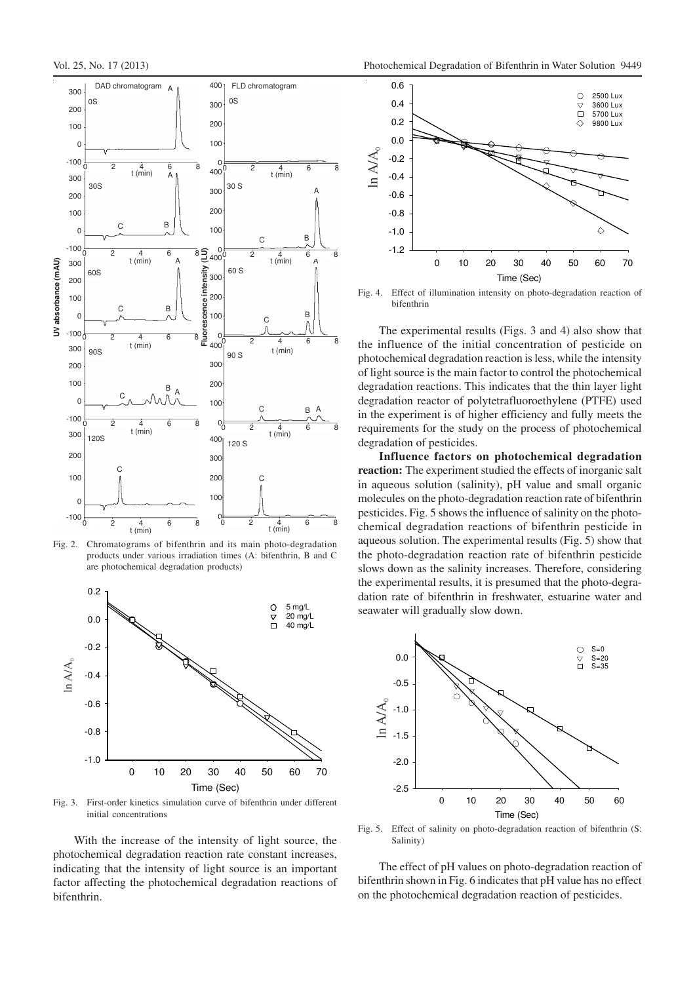

Fig. 2. Chromatograms of bifenthrin and its main photo-degradation products under various irradiation times (A: bifenthrin, B and C are photochemical degradation products)



Fig. 3. First-order kinetics simulation curve of bifenthrin under different initial concentrations

With the increase of the intensity of light source, the photochemical degradation reaction rate constant increases, indicating that the intensity of light source is an important factor affecting the photochemical degradation reactions of bifenthrin.



Fig. 4. Effect of illumination intensity on photo-degradation reaction of bifenthrin

The experimental results (Figs. 3 and 4) also show that the influence of the initial concentration of pesticide on photochemical degradation reaction is less, while the intensity of light source is the main factor to control the photochemical degradation reactions. This indicates that the thin layer light degradation reactor of polytetrafluoroethylene (PTFE) used in the experiment is of higher efficiency and fully meets the requirements for the study on the process of photochemical degradation of pesticides.

**Influence factors on photochemical degradation reaction:** The experiment studied the effects of inorganic salt in aqueous solution (salinity), pH value and small organic molecules on the photo-degradation reaction rate of bifenthrin pesticides. Fig. 5 shows the influence of salinity on the photochemical degradation reactions of bifenthrin pesticide in aqueous solution. The experimental results (Fig. 5) show that the photo-degradation reaction rate of bifenthrin pesticide slows down as the salinity increases. Therefore, considering the experimental results, it is presumed that the photo-degradation rate of bifenthrin in freshwater, estuarine water and seawater will gradually slow down.



Fig. 5. Effect of salinity on photo-degradation reaction of bifenthrin (S: Salinity)

The effect of pH values on photo-degradation reaction of bifenthrin shown in Fig. 6 indicates that pH value has no effect on the photochemical degradation reaction of pesticides.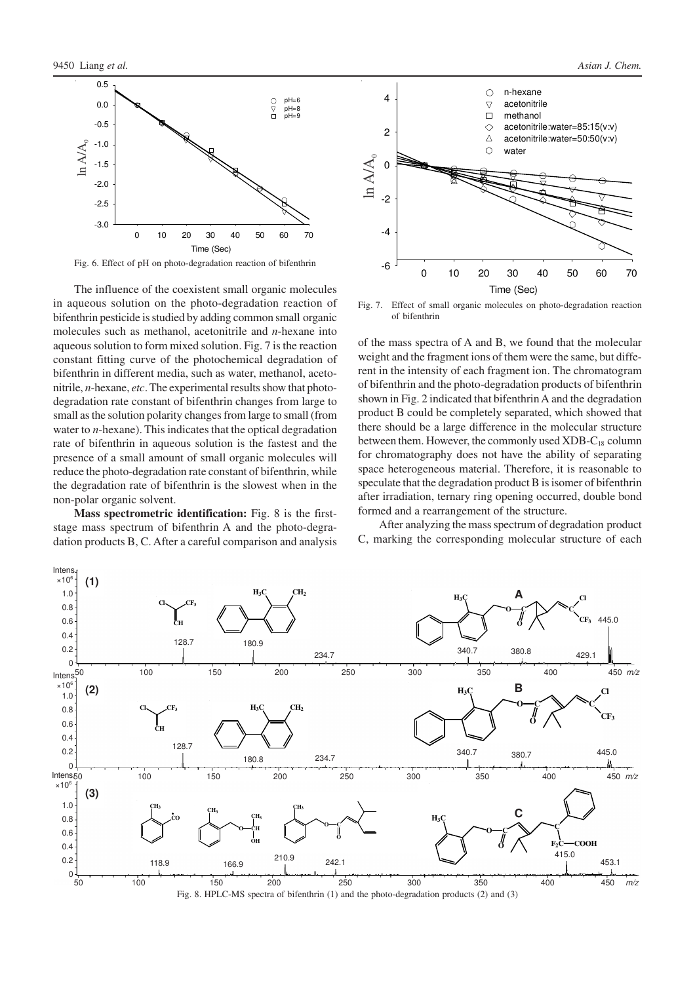



The influence of the coexistent small organic molecules in aqueous solution on the photo-degradation reaction of bifenthrin pesticide is studied by adding common small organic molecules such as methanol, acetonitrile and *n*-hexane into aqueous solution to form mixed solution. Fig. 7 is the reaction constant fitting curve of the photochemical degradation of bifenthrin in different media, such as water, methanol, acetonitrile, *n*-hexane, *etc*.The experimental results show that photodegradation rate constant of bifenthrin changes from large to small as the solution polarity changes from large to small (from water to *n*-hexane). This indicates that the optical degradation rate of bifenthrin in aqueous solution is the fastest and the presence of a small amount of small organic molecules will reduce the photo-degradation rate constant of bifenthrin, while the degradation rate of bifenthrin is the slowest when in the non-polar organic solvent.

**Mass spectrometric identification:** Fig. 8 is the firststage mass spectrum of bifenthrin A and the photo-degradation products B, C. After a careful comparison and analysis



Fig. 7. Effect of small organic molecules on photo-degradation reaction of bifenthrin

of the mass spectra of A and B, we found that the molecular weight and the fragment ions of them were the same, but different in the intensity of each fragment ion. The chromatogram of bifenthrin and the photo-degradation products of bifenthrin shown in Fig. 2 indicated that bifenthrin A and the degradation product B could be completely separated, which showed that there should be a large difference in the molecular structure between them. However, the commonly used  $XDB-C_{18}$  column for chromatography does not have the ability of separating space heterogeneous material. Therefore, it is reasonable to speculate that the degradation product B is isomer of bifenthrin after irradiation, ternary ring opening occurred, double bond formed and a rearrangement of the structure.

After analyzing the mass spectrum of degradation product C, marking the corresponding molecular structure of each